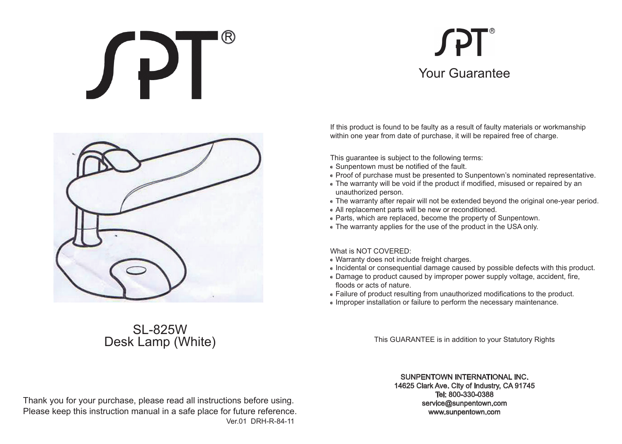# JPT

## **SPT** Your Guarantee



### SL-825W Desk Lamp (White)

If this product is found to be faulty as a result of faulty materials or workmanship within one year from date of purchase, it will be repaired free of charge.

This guarantee is subject to the following terms:

- Sunpentown must be notified of the fault.
- Proof of purchase must be presented to Sunpentown's nominated representative.
- The warranty will be void if the product if modified, misused or repaired by an unauthorized person.
- The warranty after repair will not be extended beyond the original one-year period.
- All replacement parts will be new or reconditioned.
- Parts, which are replaced, become the property of Sunpentown.
- The warranty applies for the use of the product in the USA only.

#### What is NOT COVERED:

- Warranty does not include freight charges.
- Incidental or consequential damage caused by possible defects with this product.
- Damage to product caused by improper power supply voltage, accident, fire, floods or acts of nature.
- Failure of product resulting from unauthorized modifications to the product.
- Improper installation or failure to perform the necessary maintenance.

This GUARANTEE is in addition to your Statutory Rights

#### SUNPENTOWN INTERNATIONAL INC.

14625 Clark Ave. City of Industry, CA 91745 Tel: 800-330-0388 service@sunpentown.com www.sunpentown.com

Thank you for your purchase, please read all instructions before using. Please keep this instruction manual in a safe place for future reference. Ver.01 DRH-R-84-11